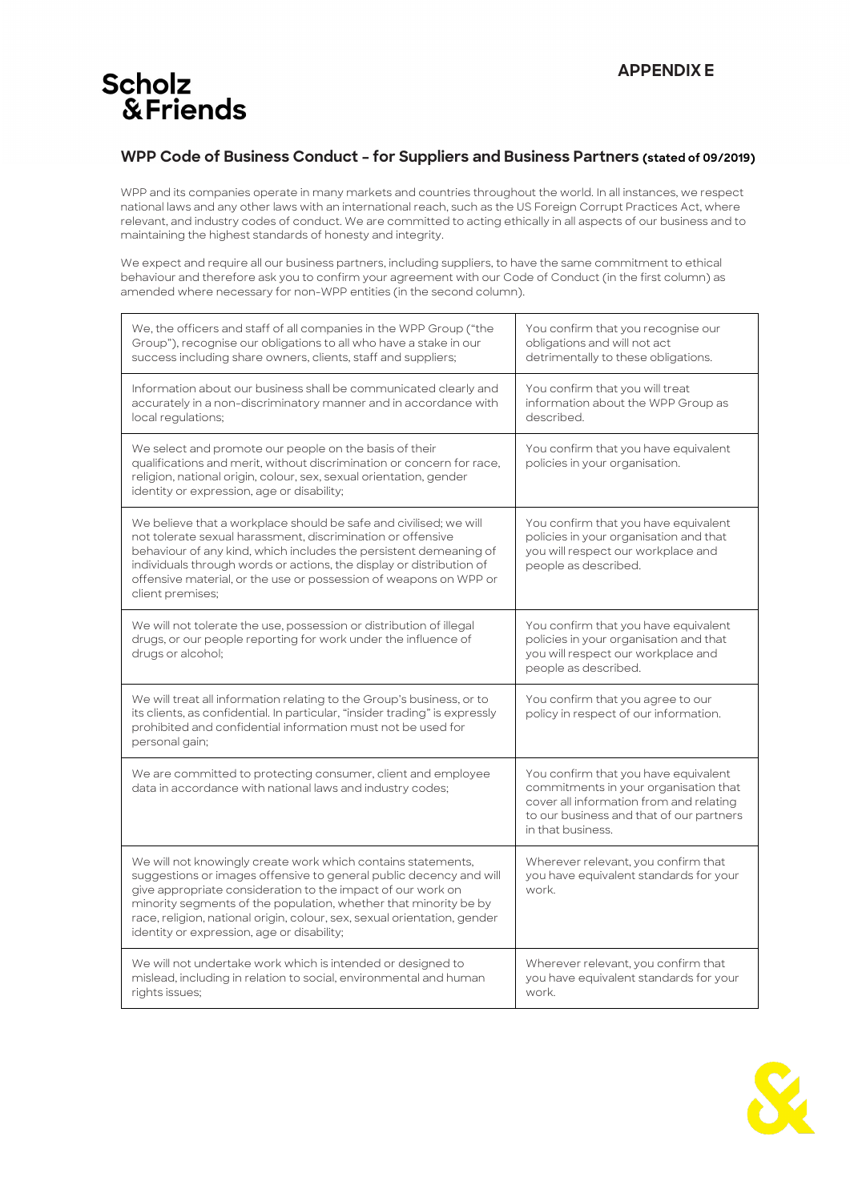## **Scholz** & Friends

## **WPP Code of Business Conduct – for Suppliers and Business Partners (stated of 09/2019)**

WPP and its companies operate in many markets and countries throughout the world. In all instances, we respect national laws and any other laws with an international reach, such as the US Foreign Corrupt Practices Act, where relevant, and industry codes of conduct. We are committed to acting ethically in all aspects of our business and to maintaining the highest standards of honesty and integrity.

We expect and require all our business partners, including suppliers, to have the same commitment to ethical behaviour and therefore ask you to confirm your agreement with our Code of Conduct (in the first column) as amended where necessary for non-WPP entities (in the second column).

| We, the officers and staff of all companies in the WPP Group ("the<br>Group"), recognise our obligations to all who have a stake in our<br>success including share owners, clients, staff and suppliers;                                                                                                                                                                                        | You confirm that you recognise our<br>obligations and will not act<br>detrimentally to these obligations.                                                                                 |
|-------------------------------------------------------------------------------------------------------------------------------------------------------------------------------------------------------------------------------------------------------------------------------------------------------------------------------------------------------------------------------------------------|-------------------------------------------------------------------------------------------------------------------------------------------------------------------------------------------|
| Information about our business shall be communicated clearly and<br>accurately in a non-discriminatory manner and in accordance with<br>local regulations;                                                                                                                                                                                                                                      | You confirm that you will treat<br>information about the WPP Group as<br>described.                                                                                                       |
| We select and promote our people on the basis of their<br>qualifications and merit, without discrimination or concern for race,<br>religion, national origin, colour, sex, sexual orientation, gender<br>identity or expression, age or disability;                                                                                                                                             | You confirm that you have equivalent<br>policies in your organisation.                                                                                                                    |
| We believe that a workplace should be safe and civilised; we will<br>not tolerate sexual harassment, discrimination or offensive<br>behaviour of any kind, which includes the persistent demeaning of<br>individuals through words or actions, the display or distribution of<br>offensive material, or the use or possession of weapons on WPP or<br>client premises;                          | You confirm that you have equivalent<br>policies in your organisation and that<br>you will respect our workplace and<br>people as described.                                              |
| We will not tolerate the use, possession or distribution of illegal<br>drugs, or our people reporting for work under the influence of<br>drugs or alcohol;                                                                                                                                                                                                                                      | You confirm that you have equivalent<br>policies in your organisation and that<br>you will respect our workplace and<br>people as described.                                              |
| We will treat all information relating to the Group's business, or to<br>its clients, as confidential. In particular, "insider trading" is expressly<br>prohibited and confidential information must not be used for<br>personal gain;                                                                                                                                                          | You confirm that you agree to our<br>policy in respect of our information.                                                                                                                |
| We are committed to protecting consumer, client and employee<br>data in accordance with national laws and industry codes;                                                                                                                                                                                                                                                                       | You confirm that you have equivalent<br>commitments in your organisation that<br>cover all information from and relating<br>to our business and that of our partners<br>in that business. |
| We will not knowingly create work which contains statements,<br>suggestions or images offensive to general public decency and will<br>give appropriate consideration to the impact of our work on<br>minority segments of the population, whether that minority be by<br>race, religion, national origin, colour, sex, sexual orientation, gender<br>identity or expression, age or disability; | Wherever relevant, you confirm that<br>you have equivalent standards for your<br>work.                                                                                                    |
| We will not undertake work which is intended or designed to<br>mislead, including in relation to social, environmental and human<br>rights issues;                                                                                                                                                                                                                                              | Wherever relevant, you confirm that<br>you have equivalent standards for your<br>work.                                                                                                    |